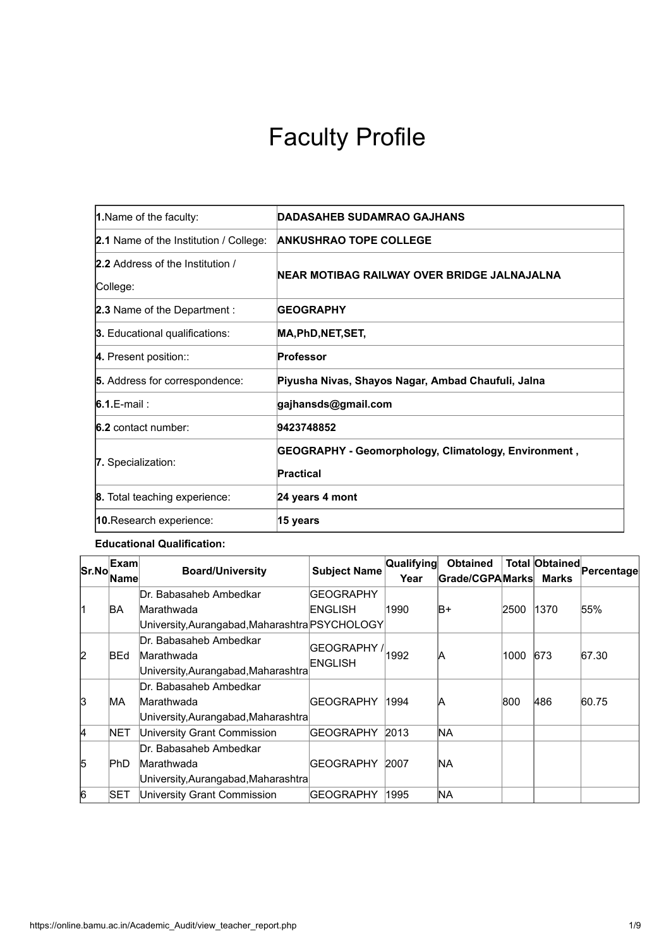# Faculty Profile

| 1. Name of the faculty:                      | <b>DADASAHEB SUDAMRAO GAJHANS</b>                                 |
|----------------------------------------------|-------------------------------------------------------------------|
| 2.1 Name of the Institution / College:       | <b>ANKUSHRAO TOPE COLLEGE</b>                                     |
| 2.2 Address of the Institution /<br>College: | NEAR MOTIBAG RAILWAY OVER BRIDGE JALNAJALNA                       |
| 2.3 Name of the Department :                 | <b>GEOGRAPHY</b>                                                  |
| 3. Educational qualifications:               | MA,PhD,NET,SET,                                                   |
| 4. Present position::                        | Professor                                                         |
| 5. Address for correspondence:               | Piyusha Nivas, Shayos Nagar, Ambad Chaufuli, Jalna                |
| $6.1$ . E-mail:                              | gajhansds@gmail.com                                               |
| <b>6.2</b> contact number:                   | 9423748852                                                        |
| 7. Specialization:                           | GEOGRAPHY - Geomorphology, Climatology, Environment,<br>Practical |
| 8. Total teaching experience:                | 24 years 4 mont                                                   |
| 10. Research experience:                     | 15 years                                                          |

#### **Educational Qualification:**

| Sr.No          | Exam        | <b>Board/University</b>                        | <b>Subject Name</b>         | <b>Qualifying</b> | <b>Obtained</b> |      | Total Obtained | Percentage |  |
|----------------|-------------|------------------------------------------------|-----------------------------|-------------------|-----------------|------|----------------|------------|--|
|                | <b>Name</b> |                                                |                             | Year              | Grade/CGPAMarks |      | Marks          |            |  |
|                |             | Dr. Babasaheb Ambedkar                         | <b>GEOGRAPHY</b>            |                   |                 |      |                |            |  |
| l1             | BA          | Marathwada                                     | ENGLISH                     | 1990              | B+              | 2500 | 1370           | 55%        |  |
|                |             | University, Aurangabad, Maharashtra PSYCHOLOGY |                             |                   |                 |      |                |            |  |
|                |             | Dr. Babasaheb Ambedkar                         |                             |                   |                 |      |                |            |  |
| $\overline{2}$ | <b>BEd</b>  | Marathwada                                     | GEOGRAPHY / 1992<br>ENGLISH |                   | A               | 1000 | 673            | 67.30      |  |
|                |             | University, Aurangabad, Maharashtra            |                             |                   |                 |      |                |            |  |
|                |             | Dr. Babasaheb Ambedkar                         |                             | 1994              | A               |      |                |            |  |
| 3              | MA.         | Marathwada                                     | <b>GEOGRAPHY</b>            |                   |                 | 800  | 486            | 60.75      |  |
|                |             | University, Aurangabad, Maharashtra            |                             |                   |                 |      |                |            |  |
| 4              | <b>NET</b>  | University Grant Commission                    | <b>GEOGRAPHY</b>            | 2013              | <b>NA</b>       |      |                |            |  |
|                |             | Dr. Babasaheb Ambedkar                         |                             |                   |                 |      |                |            |  |
| 5              | PhD         | Marathwada                                     | <b>GEOGRAPHY</b>            | 2007              | NA.             |      |                |            |  |
|                |             | University, Aurangabad, Maharashtra            |                             |                   |                 |      |                |            |  |
| 6              | <b>SET</b>  | University Grant Commission                    | <b>GEOGRAPHY</b>            | 1995              | NA.             |      |                |            |  |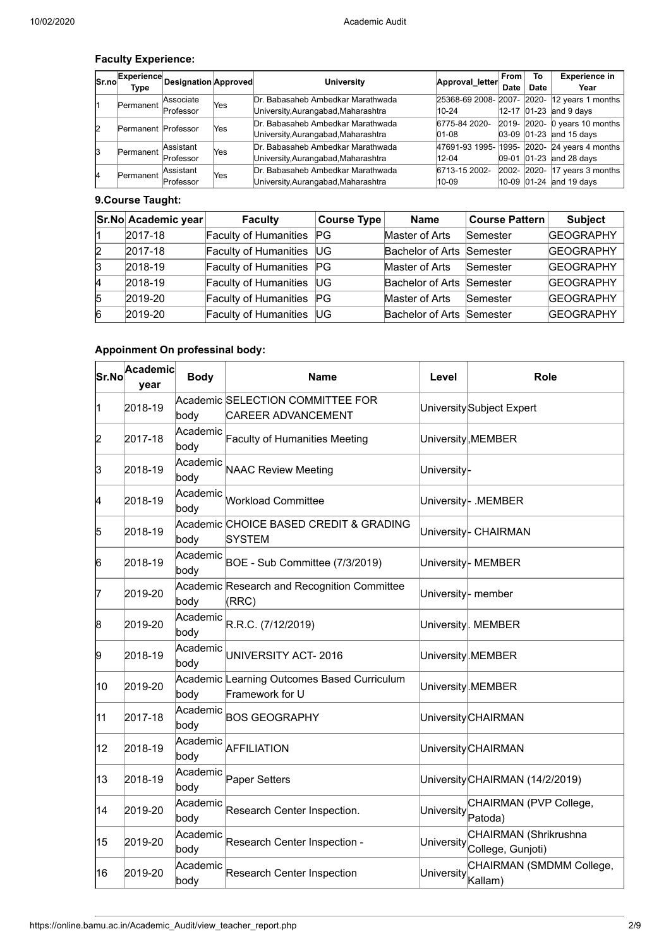# **Faculty Experience:**

| Sr.no | Experience<br>Type  | <b>Designation Approved</b> |     | <b>University</b>                   | Approval_letter | From<br>Date | Τо<br>Date | <b>Experience in</b><br>Year                 |
|-------|---------------------|-----------------------------|-----|-------------------------------------|-----------------|--------------|------------|----------------------------------------------|
| l1    | Permanent           | Associate                   | Yes | Dr. Babasaheb Ambedkar Marathwada   |                 |              |            | 25368-69 2008- 2007- 2020- 12 years 1 months |
|       |                     | Professor                   |     | University, Aurangabad, Maharashtra | 10-24           |              |            | 12-17 01-23 and 9 days                       |
| l2    | Permanent Professor |                             | Yes | Dr. Babasaheb Ambedkar Marathwada   | 6775-84 2020-   |              |            | 2019- 2020- 0 years 10 months                |
|       |                     |                             |     | University, Aurangabad, Maharashtra | $ 01 - 08 $     |              |            | $ 03-09 01-23 $ and 15 days                  |
| 13    |                     | Assistant                   | Yes | Dr. Babasaheb Ambedkar Marathwada   |                 |              |            | 47691-93 1995- 1995- 2020- 24 years 4 months |
|       | Permanent           | Professor                   |     | University, Aurangabad, Maharashtra | 12-04           |              |            | 09-01 01-23 and 28 days                      |
| 14    | Permanent           | Assistant                   | Yes | Dr. Babasaheb Ambedkar Marathwada   | 6713-15 2002-   |              |            | $2002 - 2020 - 17$ years 3 months            |
|       |                     | Professor                   |     | University, Aurangabad, Maharashtra | 10-09           |              |            | $10-09$ 01-24 and 19 days                    |

## **9.Course Taught:**

|   | Sr.No Academic year | <b>Faculty</b>               | $ $ Course Type $ $ | <b>Name</b>               | <b>Course Pattern</b> | <b>Subject</b>   |
|---|---------------------|------------------------------|---------------------|---------------------------|-----------------------|------------------|
|   | 2017-18             | Faculty of Humanities PG     |                     | Master of Arts            | Semester              | <b>GEOGRAPHY</b> |
| 2 | 2017-18             | Faculty of Humanities        | <b>UG</b>           | Bachelor of Arts Semester |                       | <b>GEOGRAPHY</b> |
| 3 | 2018-19             | Faculty of Humanities PG     |                     | Master of Arts            | Semester              | <b>GEOGRAPHY</b> |
| 4 | 2018-19             | Faculty of Humanities        | <b>UG</b>           | Bachelor of Arts Semester |                       | <b>GEOGRAPHY</b> |
| 5 | 2019-20             | Faculty of Humanities        | PG                  | Master of Arts            | Semester              | <b>GEOGRAPHY</b> |
| 6 | 2019-20             | <b>Faculty of Humanities</b> | <b>UG</b>           | Bachelor of Arts Semester |                       | <b>GEOGRAPHY</b> |

# **Appoinment On professinal body:**

| Sr.No | <b>Academic</b><br>year | <b>Body</b>      | <b>Name</b>                                                    | Level                         | Role                                       |
|-------|-------------------------|------------------|----------------------------------------------------------------|-------------------------------|--------------------------------------------|
| 11    | 2018-19                 |                  | Academic SELECTION COMMITTEE FOR                               |                               | University Subject Expert                  |
|       |                         | body             | CAREER ADVANCEMENT                                             |                               |                                            |
| 2     | 2017-18                 | Academic<br>body | Faculty of Humanities Meeting                                  |                               | University, MEMBER                         |
| 3     | 2018-19                 | Academic<br>body | <b>NAAC Review Meeting</b>                                     | University-                   |                                            |
| 4     | 2018-19                 | Academic<br>body | <b>Workload Committee</b>                                      |                               | University- .MEMBER                        |
| 5     | 2018-19                 | body             | Academic CHOICE BASED CREDIT & GRADING<br><b>SYSTEM</b>        |                               | University- CHAIRMAN                       |
| 6     | 2018-19                 | Academic<br>body | BOE - Sub Committee (7/3/2019)                                 |                               | University- MEMBER                         |
| 17    | 2019-20                 | body             | Academic Research and Recognition Committee<br>(RRC)           | University- member            |                                            |
| 8     | 2019-20                 | Academic<br>body | R.R.C. (7/12/2019)                                             |                               | University NEMBER                          |
| 9     | 2018-19                 | Academic<br>body | UNIVERSITY ACT-2016                                            |                               | University MEMBER                          |
| 10    | 2019-20                 | body             | Academic Learning Outcomes Based Curriculum<br>Framework for U |                               | University MEMBER                          |
| 11    | 2017-18                 | Academic<br>body | <b>BOS GEOGRAPHY</b>                                           |                               | University CHAIRMAN                        |
| 12    | 2018-19                 | Academic<br>body | <b>AFFILIATION</b>                                             |                               | University CHAIRMAN                        |
| 13    | 2018-19                 | Academic<br>body | Paper Setters                                                  |                               | University CHAIRMAN (14/2/2019)            |
| 14    | 2019-20                 | Academic<br>body | Research Center Inspection.                                    | University <sub>Patoda)</sub> | CHAIRMAN (PVP College,                     |
| 15    | 2019-20                 | Academic<br>body | Research Center Inspection -                                   | University                    | CHAIRMAN (Shrikrushna<br>College, Gunjoti) |
| 16    | 2019-20                 | Academic<br>body | <b>Research Center Inspection</b>                              | University                    | CHAIRMAN (SMDMM College,<br>Kallam)        |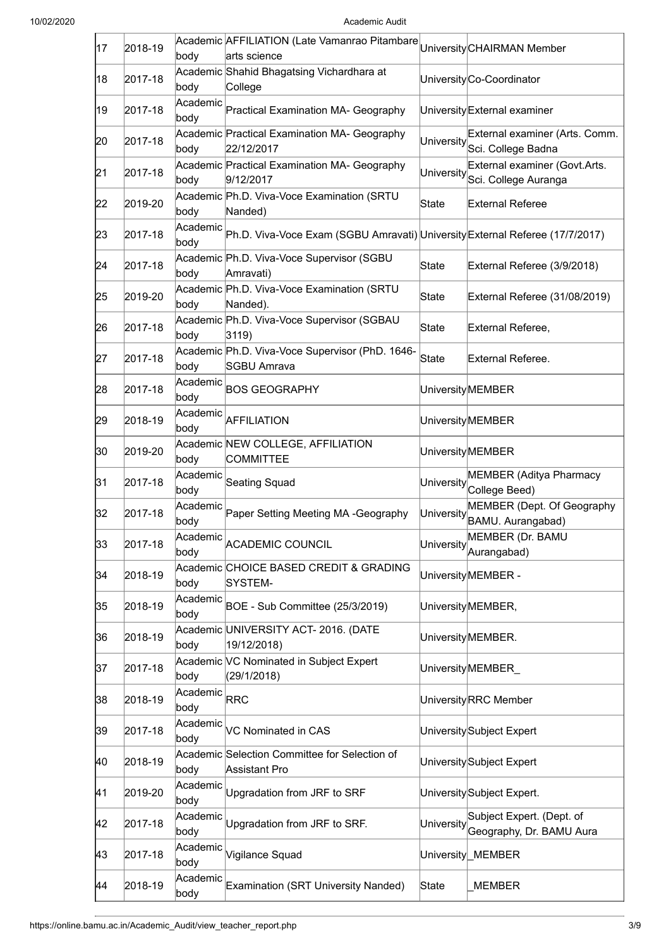| 17 | 2018-19 | body             | Academic AFFILIATION (Late Vamanrao Pitambare<br>arts science                |            | University CHAIRMAN Member                                                |
|----|---------|------------------|------------------------------------------------------------------------------|------------|---------------------------------------------------------------------------|
| 18 | 2017-18 | body             | Academic Shahid Bhagatsing Vichardhara at<br>College                         |            | University Co-Coordinator                                                 |
| 19 | 2017-18 | Academic<br>body | Practical Examination MA- Geography                                          |            | University External examiner                                              |
| 20 | 2017-18 | body             | Academic Practical Examination MA- Geography<br>22/12/2017                   | University | External examiner (Arts. Comm.<br>Sci. College Badna                      |
| 21 | 2017-18 | body             | Academic Practical Examination MA- Geography<br>9/12/2017                    | University | External examiner (Govt.Arts.<br>Sci. College Auranga                     |
| 22 | 2019-20 | body             | Academic Ph.D. Viva-Voce Examination (SRTU<br>Nanded)                        | State      | External Referee                                                          |
| 23 | 2017-18 | Academic<br>body | Ph.D. Viva-Voce Exam (SGBU Amravati) University External Referee (17/7/2017) |            |                                                                           |
| 24 | 2017-18 | body             | Academic Ph.D. Viva-Voce Supervisor (SGBU<br>Amravati)                       | State      | External Referee (3/9/2018)                                               |
| 25 | 2019-20 | body             | Academic Ph.D. Viva-Voce Examination (SRTU<br>Nanded).                       | State      | External Referee (31/08/2019)                                             |
| 26 | 2017-18 | body             | Academic Ph.D. Viva-Voce Supervisor (SGBAU<br>3119)                          | State      | External Referee,                                                         |
| 27 | 2017-18 | body             | Academic Ph.D. Viva-Voce Supervisor (PhD. 1646-<br><b>SGBU Amrava</b>        | State      | <b>External Referee.</b>                                                  |
| 28 | 2017-18 | Academic<br>body | <b>BOS GEOGRAPHY</b>                                                         |            | <b>University</b> MEMBER                                                  |
| 29 | 2018-19 | Academic<br>body | <b>AFFILIATION</b>                                                           |            | <b>University</b> MEMBER                                                  |
| 30 | 2019-20 | body             | Academic NEW COLLEGE, AFFILIATION<br><b>COMMITTEE</b>                        |            | University MEMBER                                                         |
| 31 | 2017-18 | Academic<br>body | <b>Seating Squad</b>                                                         |            | <b>MEMBER (Aditya Pharmacy</b><br>University <sup>[11</sup> College Beed] |
| 32 | 2017-18 | Academic<br>body | Paper Setting Meeting MA -Geography                                          | University | MEMBER (Dept. Of Geography<br>BAMU. Aurangabad)                           |
| 33 | 2017-18 | Academic<br>body | <b>ACADEMIC COUNCIL</b>                                                      | University | MEMBER (Dr. BAMU<br>Aurangabad)                                           |
| 34 | 2018-19 | body             | Academic CHOICE BASED CREDIT & GRADING<br>SYSTEM-                            |            | UniversityMEMBER -                                                        |
| 35 | 2018-19 | Academic<br>body | BOE - Sub Committee (25/3/2019)                                              |            | University MEMBER,                                                        |
| 36 | 2018-19 | body             | Academic UNIVERSITY ACT- 2016. (DATE<br>19/12/2018)                          |            | University MEMBER.                                                        |
| 37 | 2017-18 | body             | Academic VC Nominated in Subject Expert<br>(29/1/2018)                       |            | University MEMBER                                                         |
| 38 | 2018-19 | Academic<br>body | <b>RRC</b>                                                                   |            | UniversityRRC Member                                                      |
| 39 | 2017-18 | Academic<br>body | VC Nominated in CAS                                                          |            | University Subject Expert                                                 |
| 40 | 2018-19 | body             | Academic Selection Committee for Selection of<br>Assistant Pro               |            | University Subject Expert                                                 |
| 41 | 2019-20 | Academic<br>body | Upgradation from JRF to SRF                                                  |            | University Subject Expert.                                                |
| 42 | 2017-18 | Academic<br>body | Upgradation from JRF to SRF.                                                 | University | Subject Expert. (Dept. of<br>Geography, Dr. BAMU Aura                     |
| 43 | 2017-18 | Academic<br>body | Vigilance Squad                                                              |            | University MEMBER                                                         |
| 44 | 2018-19 | Academic<br>body | <b>Examination (SRT University Nanded)</b>                                   | State      | <b>MEMBER</b>                                                             |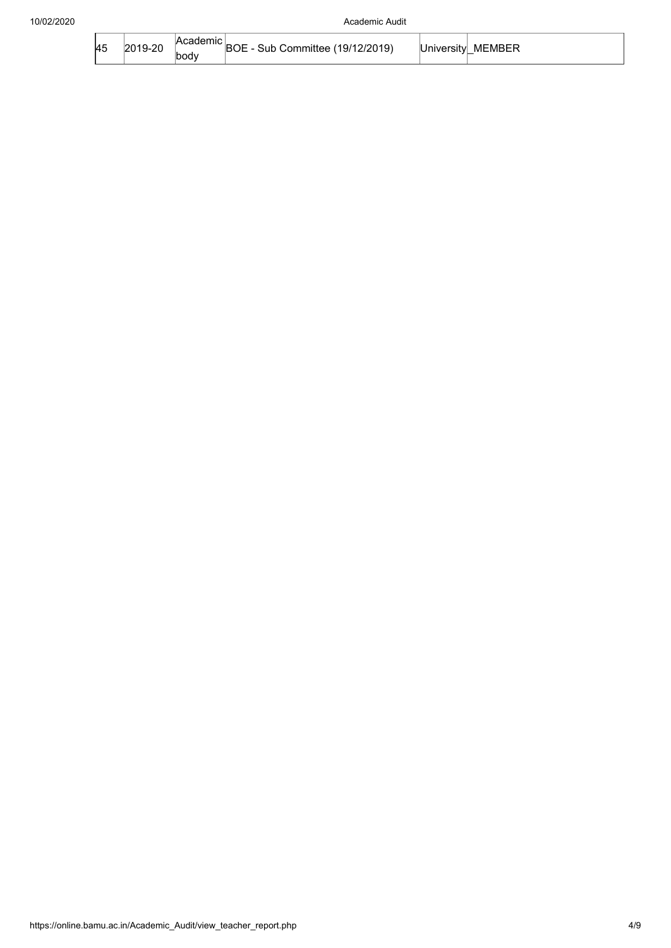| <b>45</b> | ററ | 2/2019<br>∩r<br>11 H<br>. 1971 | ∴cıtvl | MFMBFP<br>_ |
|-----------|----|--------------------------------|--------|-------------|
|-----------|----|--------------------------------|--------|-------------|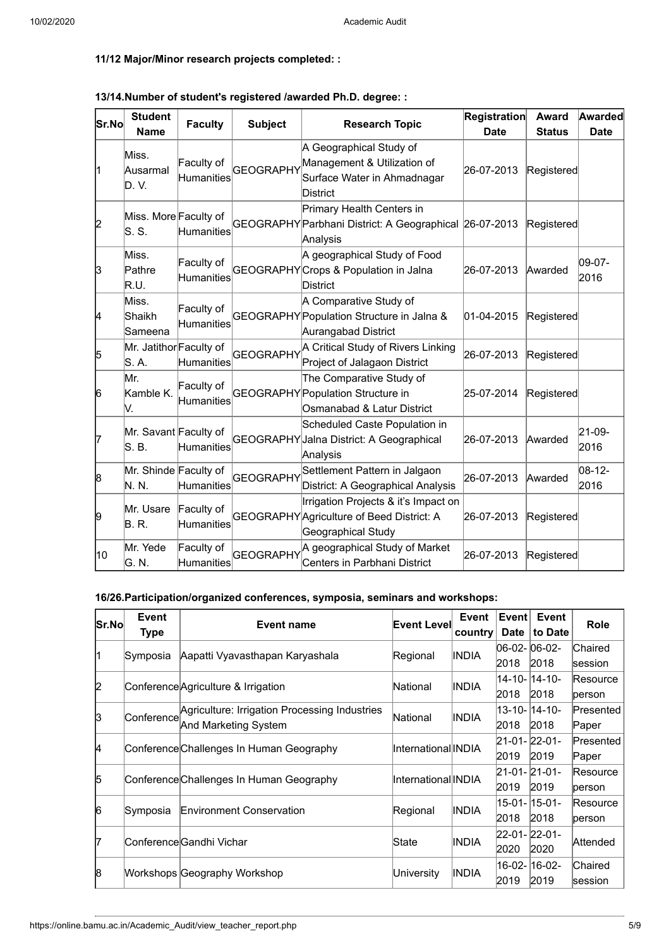# **11/12 Major/Minor research projects completed: :**

| Sr.No | <b>Student</b><br><b>Name</b>    | <b>Faculty</b>                  | <b>Subject</b>   | <b>Research Topic</b>                                                                                    | <b>Registration</b><br><b>Date</b> | Award<br><b>Status</b> | <b>Awarded</b><br><b>Date</b> |
|-------|----------------------------------|---------------------------------|------------------|----------------------------------------------------------------------------------------------------------|------------------------------------|------------------------|-------------------------------|
| l1    | Miss.<br>Ausarmal<br>D.V.        | Faculty of<br>Humanities        | <b>GEOGRAPHY</b> | A Geographical Study of<br>Management & Utilization of<br>Surface Water in Ahmadnagar<br><b>District</b> | 26-07-2013                         | Registered             |                               |
| 2     | Miss. More Faculty of<br>ls. s.  | Humanities                      |                  | Primary Health Centers in<br>GEOGRAPHY Parbhani District: A Geographical 26-07-2013<br>Analysis          |                                    | Registered             |                               |
| 3     | Miss.<br>Pathre<br>R.U.          | Faculty of<br>Humanities        |                  | A geographical Study of Food<br>GEOGRAPHY Crops & Population in Jalna<br>District                        | 26-07-2013                         | Awarded                | 09-07-<br>2016                |
| 4     | Miss.<br>Shaikh<br>Sameena       | Faculty of<br><b>Humanities</b> |                  | A Comparative Study of<br>GEOGRAPHY Population Structure in Jalna &<br>Aurangabad District               | $01-04-2015$                       | Registered             |                               |
| 5     | Mr. Jatithor Faculty of<br>S. A. | <b>Humanities</b>               | <b>GEOGRAPHY</b> | A Critical Study of Rivers Linking<br>Project of Jalagaon District                                       | 26-07-2013                         | Registered             |                               |
| 6     | Mr.<br>Kamble K.<br>V.           | Faculty of<br>Humanities        |                  | The Comparative Study of<br>GEOGRAPHY Population Structure in<br>Osmanabad & Latur District              | 25-07-2014                         | Registered             |                               |
| 17    | Mr. Savant Faculty of<br>S. B.   | <b>Humanities</b>               |                  | Scheduled Caste Population in<br>GEOGRAPHY Jalna District: A Geographical<br>Analysis                    | 26-07-2013                         | Awarded                | 21-09-<br>2016                |
| 8     | Mr. Shinde Faculty of<br>N. N.   | <b>Humanities</b>               | <b>GEOGRAPHY</b> | Settlement Pattern in Jalgaon<br>District: A Geographical Analysis                                       | 26-07-2013                         | Awarded                | 08-12-<br>2016                |
| 9     | Mr. Usare<br>B. R.               | Faculty of<br><b>Humanities</b> |                  | Irrigation Projects & it's Impact on<br>GEOGRAPHY Agriculture of Beed District: A<br>Geographical Study  | 26-07-2013                         | Registered             |                               |
| 10    | Mr. Yede<br>G. N.                | Faculty of<br>Humanities        | <b>GEOGRAPHY</b> | A geographical Study of Market<br>Centers in Parbhani District                                           | 26-07-2013                         | Registered             |                               |

# **13/14.Number of student's registered /awarded Ph.D. degree: :**

#### **16/26.Participation/organized conferences, symposia, seminars and workshops:**

| Sr.Nol | Event      | Event name                                    | <b>Event Level</b>   | Event        | Event        | Event           | <b>Role</b> |  |
|--------|------------|-----------------------------------------------|----------------------|--------------|--------------|-----------------|-------------|--|
|        | Type       |                                               |                      | country      | <b>Date</b>  | to Date         |             |  |
|        |            |                                               |                      |              | 06-02-06-02- |                 | Chaired     |  |
|        | Symposia   | Aapatti Vyavasthapan Karyashala               | Regional             | INDIA        | 2018         | 2018            | session     |  |
|        |            |                                               |                      |              |              | 14-10-14-10-    | Resource    |  |
| 2      |            | Conference Agriculture & Irrigation           | National             | INDIA        | 2018         | 2018            | person      |  |
|        |            | Agriculture: Irrigation Processing Industries |                      |              |              | 13-10-14-10-    | Presented   |  |
| 13     | Conference | And Marketing System                          | National             | INDIA        | 2018         | 2018            | Paper       |  |
| 4      |            | Conference Challenges In Human Geography      | InternationallINDIA  |              | 21-01-22-01- |                 | Presented   |  |
|        |            |                                               |                      |              | 2019         | 2019            | Paper       |  |
| 5      |            |                                               |                      |              | 21-01-21-01- |                 | Resource    |  |
|        |            | Conference Challenges In Human Geography      | lInternationallINDIA |              | 2019         | 2019            | person      |  |
|        |            |                                               |                      |              |              | 15-01- 15-01-   | Resource    |  |
| 6      | Symposia   | Environment Conservation                      | Regional             | INDIA        | 2018         | 2018            | person      |  |
| 7      |            | ConferencelGandhi Vichar                      | State                | <b>INDIA</b> | 22-01-22-01- |                 |             |  |
|        |            |                                               |                      |              | 2020         | 2020            | Attended    |  |
| 18     |            |                                               |                      |              |              | l16-02- l16-02- | Chaired     |  |
|        |            | Workshops Geography Workshop                  | University           | INDIA        | 2019         | 2019            | session     |  |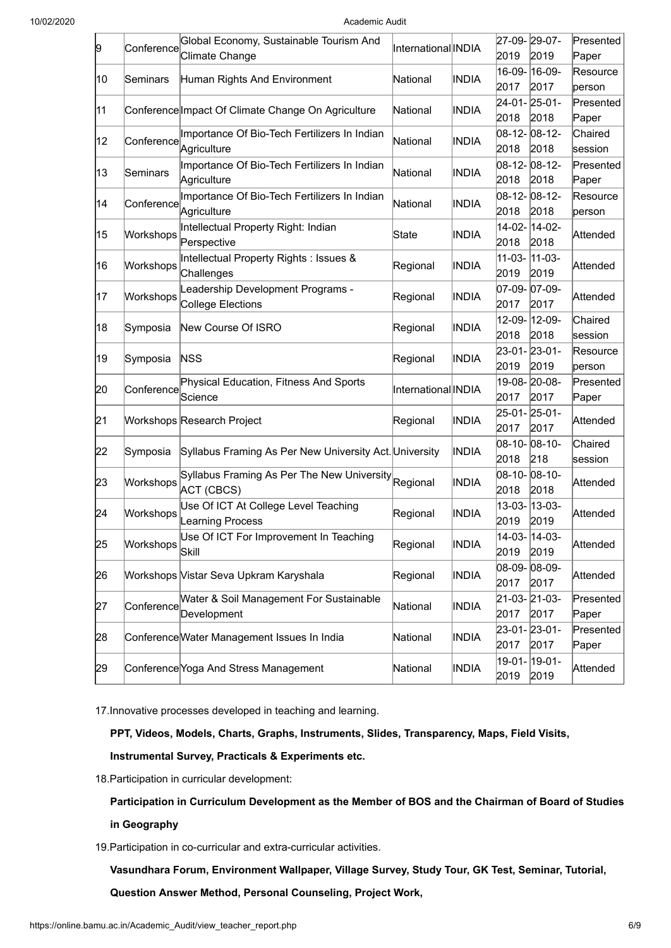10/02/2020 Academic Audit

| 9  | Conference | Global Economy, Sustainable Tourism And                | International INDIA |              | 27-09-29-07- |               | Presented |  |  |
|----|------------|--------------------------------------------------------|---------------------|--------------|--------------|---------------|-----------|--|--|
|    |            | Climate Change                                         |                     |              | 2019         | 2019          | Paper     |  |  |
| 10 | Seminars   | Human Rights And Environment                           | National            | <b>INDIA</b> |              | 16-09- 16-09- | Resource  |  |  |
|    |            |                                                        |                     |              | 2017         | 2017          | person    |  |  |
| 11 |            | Conference Impact Of Climate Change On Agriculture     | National            | INDIA        |              | 24-01-25-01-  | Presented |  |  |
|    |            |                                                        |                     |              | 2018         | 2018          | Paper     |  |  |
| 12 | Conference | Importance Of Bio-Tech Fertilizers In Indian           | National            | <b>INDIA</b> |              | 08-12-08-12-  | Chaired   |  |  |
|    |            | Agriculture                                            |                     |              | 2018         | 2018          | session   |  |  |
|    |            | Importance Of Bio-Tech Fertilizers In Indian           |                     |              |              | 08-12-08-12-  | Presented |  |  |
| 13 | Seminars   | Agriculture                                            | National            | INDIA        | 2018         | 2018          | Paper     |  |  |
|    |            | Importance Of Bio-Tech Fertilizers In Indian           |                     |              |              | 08-12-08-12-  | Resource  |  |  |
| 14 | Conference | Agriculture                                            | National            | <b>INDIA</b> | 2018         | 2018          | person    |  |  |
|    |            | Intellectual Property Right: Indian                    |                     |              |              | 14-02- 14-02- |           |  |  |
| 15 | Workshops  | Perspective                                            | State               | <b>INDIA</b> | 2018         | 2018          | Attended  |  |  |
|    |            | Intellectual Property Rights : Issues &                |                     |              | $11-03-$     | $11-03-$      |           |  |  |
| 16 | Workshops  | Challenges                                             | Regional            | <b>INDIA</b> | 2019         | 2019          | Attended  |  |  |
|    |            | Leadership Development Programs -                      |                     |              |              | 07-09- 07-09- |           |  |  |
| 17 | Workshops  | College Elections                                      | Regional            | <b>INDIA</b> | 2017         | 2017          | Attended  |  |  |
|    |            |                                                        |                     |              |              | 12-09- 12-09- | Chaired   |  |  |
| 18 | Symposia   | New Course Of ISRO                                     | Regional            | <b>INDIA</b> | 2018         | 2018          | session   |  |  |
|    |            |                                                        |                     |              | 23-01-23-01- |               | Resource  |  |  |
| 19 | Symposia   | <b>NSS</b>                                             | Regional            | <b>INDIA</b> | 2019         | 2019          | person    |  |  |
|    |            | Physical Education, Fitness And Sports                 |                     |              |              | 19-08- 20-08- | Presented |  |  |
| 20 | Conference | Science                                                | International INDIA |              | 2017         | 2017          | Paper     |  |  |
|    |            |                                                        |                     |              |              | 25-01- 25-01- |           |  |  |
| 21 |            | Workshops Research Project                             | Regional            | INDIA        | 2017         | 2017          | Attended  |  |  |
|    |            |                                                        |                     |              | 08-10-08-10- |               | Chaired   |  |  |
| 22 | Symposia   | Syllabus Framing As Per New University Act. University |                     | <b>INDIA</b> | 2018         | 218           | session   |  |  |
|    |            | Syllabus Framing As Per The New University Regional    |                     |              | 08-10-08-10- |               |           |  |  |
| 23 | Workshops  | ACT (CBCS)                                             |                     | <b>INDIA</b> | 2018         | 2018          | Attended  |  |  |
|    |            | Use Of ICT At College Level Teaching                   |                     |              |              | 13-03- 13-03- |           |  |  |
| 24 | Workshops  | Learning Process                                       | Regional            | <b>INDIA</b> | 2019         | 2019          | Attended  |  |  |
|    |            | Use Of ICT For Improvement In Teaching                 |                     |              |              | 14-03- 14-03- |           |  |  |
| 25 | Workshops  | <b>Skill</b>                                           | Regional            | <b>INDIA</b> | 2019         | 2019          | Attended  |  |  |
|    |            |                                                        |                     |              |              | 08-09-08-09-  |           |  |  |
| 26 |            | Workshops Vistar Seva Upkram Karyshala                 | Regional            | <b>INDIA</b> | 2017         | 2017          | Attended  |  |  |
|    |            | Water & Soil Management For Sustainable                |                     |              |              | 21-03-21-03-  | Presented |  |  |
| 27 | Conference |                                                        | National            | <b>INDIA</b> | 2017         | 2017          | Paper     |  |  |
|    |            | Development                                            |                     |              |              |               |           |  |  |
| 28 |            | Conference Water Management Issues In India            | National            | <b>INDIA</b> | 23-01-23-01- |               | Presented |  |  |
|    |            |                                                        |                     |              | 2017         | 2017          | Paper     |  |  |
| 29 |            | Conference Yoga And Stress Management                  | National            | <b>INDIA</b> |              | 19-01- 19-01- | Attended  |  |  |
|    |            |                                                        |                     |              | 2019         | 2019          |           |  |  |

17.Innovative processes developed in teaching and learning.

**PPT, Videos, Models, Charts, Graphs, Instruments, Slides, Transparency, Maps, Field Visits, Instrumental Survey, Practicals & Experiments etc.**

18.Participation in curricular development:

**Participation in Curriculum Development as the Member of BOS and the Chairman of Board of Studies**

**in Geography**

19.Participation in co-curricular and extra-curricular activities.

**Vasundhara Forum, Environment Wallpaper, Village Survey, Study Tour, GK Test, Seminar, Tutorial,**

**Question Answer Method, Personal Counseling, Project Work,**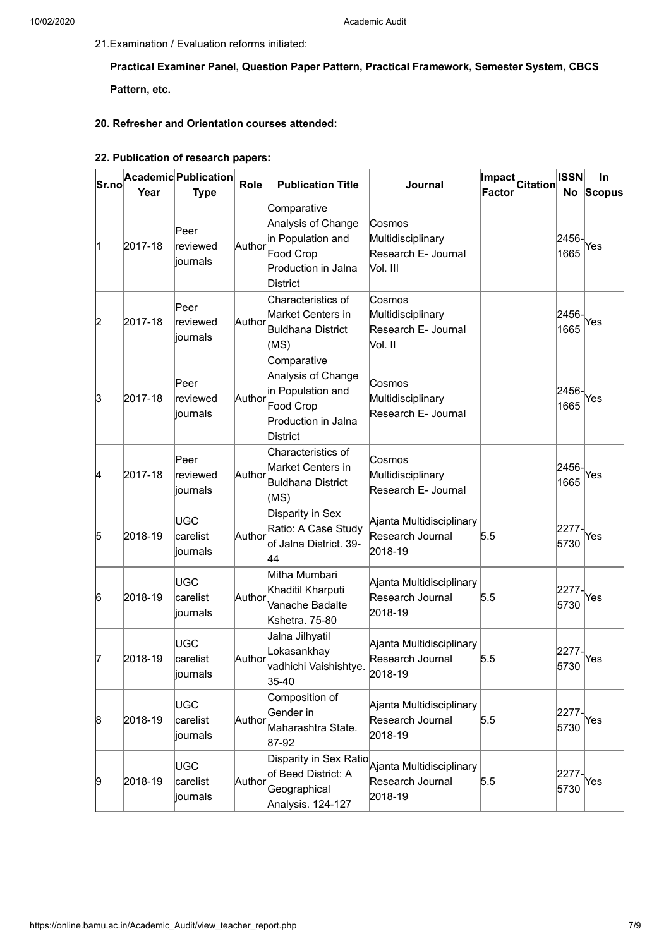21.Examination / Evaluation reforms initiated:

**Practical Examiner Panel, Question Paper Pattern, Practical Framework, Semester System, CBCS Pattern, etc.**

#### **20. Refresher and Orientation courses attended:**

# **22. Publication of research papers:**

| Sr.no | Year    | Academic Publication<br><b>Type</b> | Role   | <b>Publication Title</b>                                                                                      | Journal                                                                                                                  | Factor | Impact Citation | <b>ISSN</b>   | In<br>No Scopus |
|-------|---------|-------------------------------------|--------|---------------------------------------------------------------------------------------------------------------|--------------------------------------------------------------------------------------------------------------------------|--------|-----------------|---------------|-----------------|
| 11    | 2017-18 | Peer<br>reviewed<br>journals        | Author | Comparative<br>Analysis of Change<br>in Population and<br>Food Crop<br>Production in Jalna<br><b>District</b> | Cosmos<br>Multidisciplinary<br>Research E- Journal<br>Vol. III                                                           |        |                 | 2456-<br>1665 | Yes             |
| 2     | 2017-18 | Peer<br>reviewed<br>journals        | Author | Characteristics of<br>Market Centers in<br>Buldhana District<br>(MS)                                          | Cosmos<br>Multidisciplinary<br>Research E- Journal<br>Vol. II                                                            |        |                 | 2456-<br>1665 | Yes             |
| 3     | 2017-18 | Peer<br>reviewed<br>journals        | Author | Comparative<br>Analysis of Change<br>in Population and<br>Food Crop<br>Production in Jalna<br><b>District</b> | Cosmos<br>Multidisciplinary<br>Research E- Journal                                                                       |        |                 | 2456-<br>1665 | Yes             |
| 4     | 2017-18 | Peer<br>reviewed<br>journals        | Author | Characteristics of<br>Market Centers in<br>Buldhana District<br>(MS)                                          | Cosmos<br>Multidisciplinary<br>Research E- Journal                                                                       |        |                 | 2456-<br>1665 | Yes             |
| 5     | 2018-19 | UGC<br>carelist<br>journals         | Author | Disparity in Sex<br>Ratio: A Case Study<br>of Jalna District. 39-<br>44                                       | Ajanta Multidisciplinary<br>Research Journal<br>2018-19                                                                  | 5.5    |                 | 2277-<br>5730 | Yes             |
| 6     | 2018-19 | UGC<br>carelist<br>journals         | Author | Mitha Mumbari<br>Khaditil Kharputi<br>Vanache Badalte<br>Kshetra. 75-80                                       | Ajanta Multidisciplinary<br>Research Journal<br>2018-19                                                                  | 5.5    |                 | 2277-<br>5730 | Yes             |
| 17    | 2018-19 | UGC<br>carelist<br>∣iournals        | Author | Jalna Jilhyatil<br>Lokasankhay<br>vadhichi Vaishishtye.<br>35-40                                              | Ajanta Multidisciplinary<br>Research Journal<br>2018-19                                                                  | 5.5    |                 | 2277-<br>5730 | Yes             |
| 8     | 2018-19 | UGC<br>carelist<br>journals         | Author | Composition of<br>Gender in<br>Maharashtra State.<br>87-92                                                    | Ajanta Multidisciplinary<br>Research Journal<br>2018-19                                                                  | 5.5    |                 | 2277-<br>5730 | Yes             |
| 9     | 2018-19 | UGC<br>carelist<br>journals         | Author | of Beed District: A<br>Geographical<br>Analysis. 124-127                                                      | $\overline{\left \text{Disparity in Sex Ratio}\right _{\text{Ajanta Multidisciplinary}}}$<br>Research Journal<br>2018-19 | 5.5    |                 | 2277-<br>5730 | Yes             |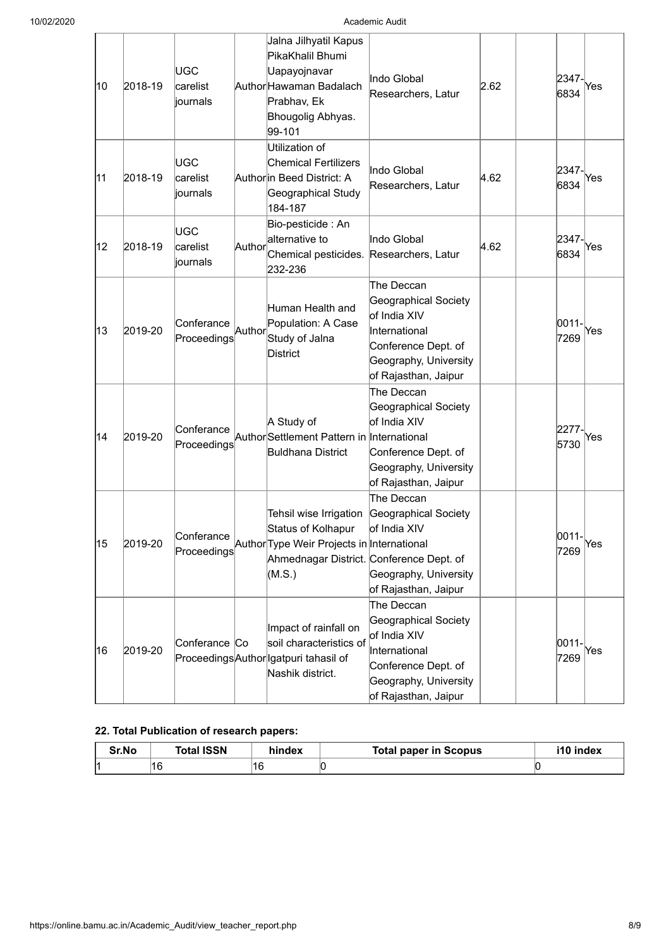| 10 | 2018-19 | UGC<br>carelist<br>journals  |        | Jalna Jilhyatil Kapus<br>PikaKhalil Bhumi<br>Uapayojnavar<br>Author Hawaman Badalach<br>Prabhav, Ek<br>Bhougolig Abhyas.<br>99-101                           | Indo Global<br>Researchers, Latur                                                                                                           | 2.62 | 2347-<br>6834 | Yes |
|----|---------|------------------------------|--------|--------------------------------------------------------------------------------------------------------------------------------------------------------------|---------------------------------------------------------------------------------------------------------------------------------------------|------|---------------|-----|
| 11 | 2018-19 | UGC<br>carelist<br>liournals |        | Utilization of<br><b>Chemical Fertilizers</b><br>Authorin Beed District: A<br>Geographical Study<br>184-187                                                  | Indo Global<br>Researchers, Latur                                                                                                           | 4.62 | 2347-<br>6834 | Yes |
| 12 | 2018-19 | UGC<br>carelist<br>liournals | Author | Bio-pesticide : An<br>alternative to<br>Chemical pesticides.<br>232-236                                                                                      | Indo Global<br>Researchers, Latur                                                                                                           | 4.62 | 2347-<br>6834 | Yes |
| 13 | 2019-20 | Conferance<br>Proceedings    | Author | Human Health and<br>Population: A Case<br>Study of Jalna<br><b>District</b>                                                                                  | The Deccan<br>Geographical Society<br>of India XIV<br>International<br>Conference Dept. of<br>Geography, University<br>of Rajasthan, Jaipur |      | 0011-<br>7269 | Yes |
| 14 | 2019-20 | Conferance<br>Proceedings    |        | A Study of<br>Author Settlement Pattern in International<br><b>Buldhana District</b>                                                                         | The Deccan<br>Geographical Society<br>of India XIV<br>Conference Dept. of<br>Geography, University<br>of Rajasthan, Jaipur                  |      | 2277-<br>5730 | Yes |
| 15 | 2019-20 |                              |        | Tehsil wise Irrigation<br>Status of Kolhapur<br>Proceedings Author Type Weir Projects in International<br>Ahmednagar District. Conference Dept. of<br>(M.S.) | The Deccan<br>Geographical Society<br>of India XIV<br>Geography, University<br>of Rajasthan, Jaipur                                         |      | 0011-<br>7269 | Yes |
| 16 | 2019-20 | Conferance Co                |        | Impact of rainfall on<br>soil characteristics of<br>Proceedings Author Igatpuri tahasil of<br>Nashik district.                                               | The Deccan<br>Geographical Society<br>of India XIV<br>International<br>Conference Dept. of<br>Geography, University<br>of Rajasthan, Jaipur |      | 0011-<br>7269 | Yes |

## **22. Total Publication of research papers:**

| Sr.No | <b>Total ISSN</b> | hindex | Total paper in Scopus | i10 index |
|-------|-------------------|--------|-----------------------|-----------|
| м     | 16                | 16     | N                     |           |